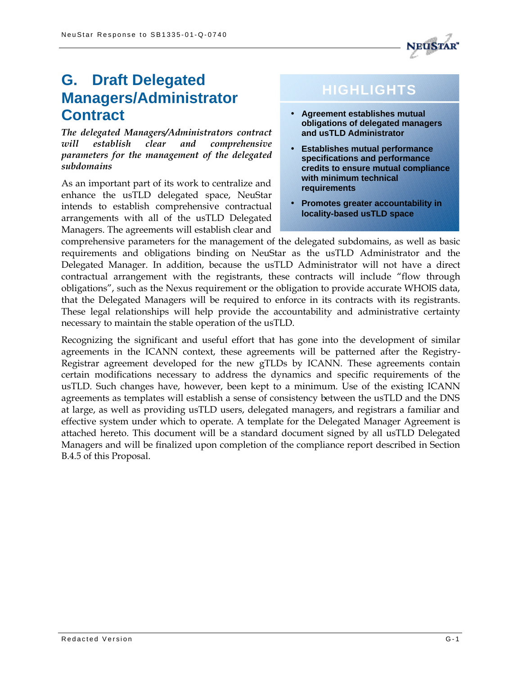

# **G. Draft Delegated Managers/Administrator Contract**

*The delegated Managers/Administrators contract will establish clear and comprehensive parameters for the management of the delegated subdomains*

As an important part of its work to centralize and enhance the usTLD delegated space, NeuStar intends to establish comprehensive contractual arrangements with all of the usTLD Delegated Managers. The agreements will establish clear and

# **HIGHLIGHTS**

- **Agreement establishes mutual obligations of delegated managers and usTLD Administrator**
- **Establishes mutual performance specifications and performance credits to ensure mutual compliance with minimum technical requirements**
- **Promotes greater accountability in locality-based usTLD space**

comprehensive parameters for the management of the delegated subdomains, as well as basic requirements and obligations binding on NeuStar as the usTLD Administrator and the Delegated Manager. In addition, because the usTLD Administrator will not have a direct contractual arrangement with the registrants, these contracts will include "flow through obligations", such as the Nexus requirement or the obligation to provide accurate WHOIS data, that the Delegated Managers will be required to enforce in its contracts with its registrants. These legal relationships will help provide the accountability and administrative certainty necessary to maintain the stable operation of the usTLD.

Recognizing the significant and useful effort that has gone into the development of similar agreements in the ICANN context, these agreements will be patterned after the Registry-Registrar agreement developed for the new gTLDs by ICANN. These agreements contain certain modifications necessary to address the dynamics and specific requirements of the usTLD. Such changes have, however, been kept to a minimum. Use of the existing ICANN agreements as templates will establish a sense of consistency between the usTLD and the DNS at large, as well as providing usTLD users, delegated managers, and registrars a familiar and effective system under which to operate. A template for the Delegated Manager Agreement is attached hereto. This document will be a standard document signed by all usTLD Delegated Managers and will be finalized upon completion of the compliance report described in Section B.4.5 of this Proposal.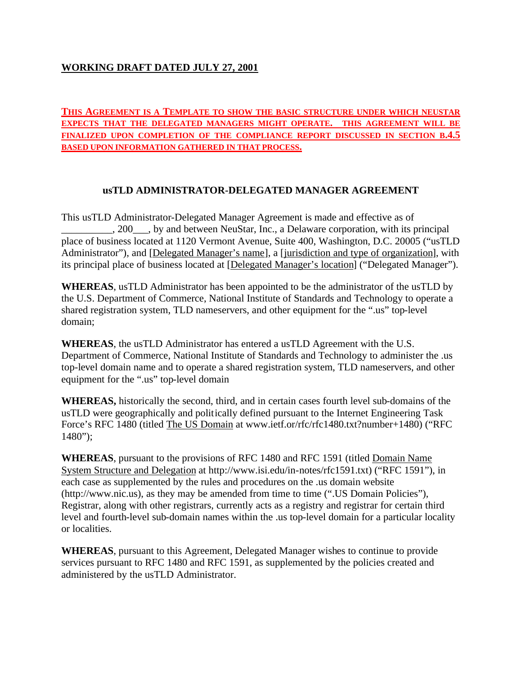## **WORKING DRAFT DATED JULY 27, 2001**

#### **THIS AGREEMENT IS A TEMPLATE TO SHOW THE BASIC STRUCTURE UNDER WHICH NEUSTAR EXPECTS THAT THE DELEGATED MANAGERS MIGHT OPERATE. THIS AGREEMENT WILL BE FINALIZED UPON COMPLETION OF THE COMPLIANCE REPORT DISCUSSED IN SECTION B.4.5 BASED UPON INFORMATION GATHERED IN THAT PROCESS.**

## **usTLD ADMINISTRATOR-DELEGATED MANAGER AGREEMENT**

This usTLD Administrator-Delegated Manager Agreement is made and effective as of \_\_\_\_\_\_\_\_\_\_, 200\_\_\_, by and between NeuStar, Inc., a Delaware corporation, with its principal place of business located at 1120 Vermont Avenue, Suite 400, Washington, D.C. 20005 ("usTLD Administrator"), and [Delegated Manager's name], a [jurisdiction and type of organization], with its principal place of business located at [Delegated Manager's location] ("Delegated Manager").

**WHEREAS**, usTLD Administrator has been appointed to be the administrator of the usTLD by the U.S. Department of Commerce, National Institute of Standards and Technology to operate a shared registration system, TLD nameservers, and other equipment for the ".us" top-level domain;

**WHEREAS**, the usTLD Administrator has entered a usTLD Agreement with the U.S. Department of Commerce, National Institute of Standards and Technology to administer the .us top-level domain name and to operate a shared registration system, TLD nameservers, and other equipment for the ".us" top-level domain

**WHEREAS,** historically the second, third, and in certain cases fourth level sub-domains of the usTLD were geographically and politically defined pursuant to the Internet Engineering Task Force's RFC 1480 (titled The US Domain at www.ietf.or/rfc/rfc1480.txt?number+1480) ("RFC  $1480$ ");

**WHEREAS**, pursuant to the provisions of RFC 1480 and RFC 1591 (titled Domain Name System Structure and Delegation at http://www.isi.edu/in-notes/rfc1591.txt) ("RFC 1591"), in each case as supplemented by the rules and procedures on the .us domain website (http://www.nic.us), as they may be amended from time to time (".US Domain Policies"), Registrar, along with other registrars, currently acts as a registry and registrar for certain third level and fourth-level sub-domain names within the .us top-level domain for a particular locality or localities.

**WHEREAS**, pursuant to this Agreement, Delegated Manager wishes to continue to provide services pursuant to RFC 1480 and RFC 1591, as supplemented by the policies created and administered by the usTLD Administrator.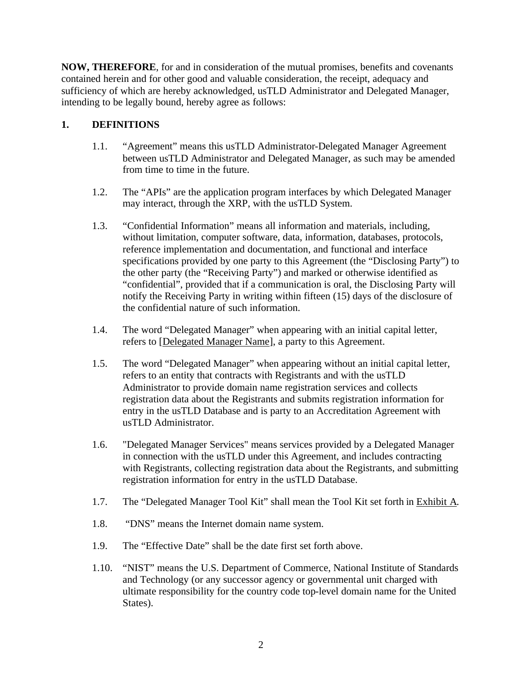**NOW, THEREFORE**, for and in consideration of the mutual promises, benefits and covenants contained herein and for other good and valuable consideration, the receipt, adequacy and sufficiency of which are hereby acknowledged, usTLD Administrator and Delegated Manager, intending to be legally bound, hereby agree as follows:

# **1. DEFINITIONS**

- 1.1. "Agreement" means this usTLD Administrator-Delegated Manager Agreement between usTLD Administrator and Delegated Manager, as such may be amended from time to time in the future.
- 1.2. The "APIs" are the application program interfaces by which Delegated Manager may interact, through the XRP, with the usTLD System.
- 1.3. "Confidential Information" means all information and materials, including, without limitation, computer software, data, information, databases, protocols, reference implementation and documentation, and functional and interface specifications provided by one party to this Agreement (the "Disclosing Party") to the other party (the "Receiving Party") and marked or otherwise identified as "confidential", provided that if a communication is oral, the Disclosing Party will notify the Receiving Party in writing within fifteen (15) days of the disclosure of the confidential nature of such information.
- 1.4. The word "Delegated Manager" when appearing with an initial capital letter, refers to [Delegated Manager Name], a party to this Agreement.
- 1.5. The word "Delegated Manager" when appearing without an initial capital letter, refers to an entity that contracts with Registrants and with the usTLD Administrator to provide domain name registration services and collects registration data about the Registrants and submits registration information for entry in the usTLD Database and is party to an Accreditation Agreement with usTLD Administrator.
- 1.6. "Delegated Manager Services" means services provided by a Delegated Manager in connection with the usTLD under this Agreement, and includes contracting with Registrants, collecting registration data about the Registrants, and submitting registration information for entry in the usTLD Database.
- 1.7. The "Delegated Manager Tool Kit" shall mean the Tool Kit set forth in Exhibit A.
- 1.8. "DNS" means the Internet domain name system.
- 1.9. The "Effective Date" shall be the date first set forth above.
- 1.10. "NIST" means the U.S. Department of Commerce, National Institute of Standards and Technology (or any successor agency or governmental unit charged with ultimate responsibility for the country code top-level domain name for the United States).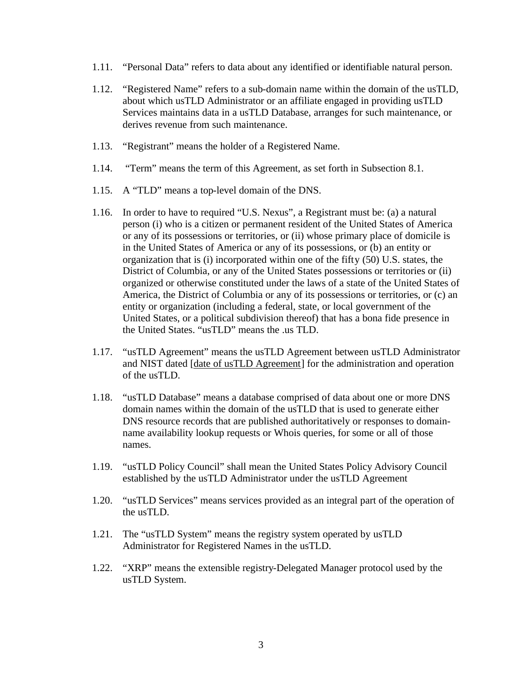- 1.11. "Personal Data" refers to data about any identified or identifiable natural person.
- 1.12. "Registered Name" refers to a sub-domain name within the domain of the usTLD, about which usTLD Administrator or an affiliate engaged in providing usTLD Services maintains data in a usTLD Database, arranges for such maintenance, or derives revenue from such maintenance.
- 1.13. "Registrant" means the holder of a Registered Name.
- 1.14. "Term" means the term of this Agreement, as set forth in Subsection 8.1.
- 1.15. A "TLD" means a top-level domain of the DNS.
- 1.16. In order to have to required "U.S. Nexus", a Registrant must be: (a) a natural person (i) who is a citizen or permanent resident of the United States of America or any of its possessions or territories, or (ii) whose primary place of domicile is in the United States of America or any of its possessions, or (b) an entity or organization that is (i) incorporated within one of the fifty (50) U.S. states, the District of Columbia, or any of the United States possessions or territories or (ii) organized or otherwise constituted under the laws of a state of the United States of America, the District of Columbia or any of its possessions or territories, or (c) an entity or organization (including a federal, state, or local government of the United States, or a political subdivision thereof) that has a bona fide presence in the United States. "usTLD" means the .us TLD.
- 1.17. "usTLD Agreement" means the usTLD Agreement between usTLD Administrator and NIST dated [date of usTLD Agreement] for the administration and operation of the usTLD.
- 1.18. "usTLD Database" means a database comprised of data about one or more DNS domain names within the domain of the usTLD that is used to generate either DNS resource records that are published authoritatively or responses to domainname availability lookup requests or Whois queries, for some or all of those names.
- 1.19. "usTLD Policy Council" shall mean the United States Policy Advisory Council established by the usTLD Administrator under the usTLD Agreement
- 1.20. "usTLD Services" means services provided as an integral part of the operation of the usTLD.
- 1.21. The "usTLD System" means the registry system operated by usTLD Administrator for Registered Names in the usTLD.
- 1.22. "XRP" means the extensible registry-Delegated Manager protocol used by the usTLD System.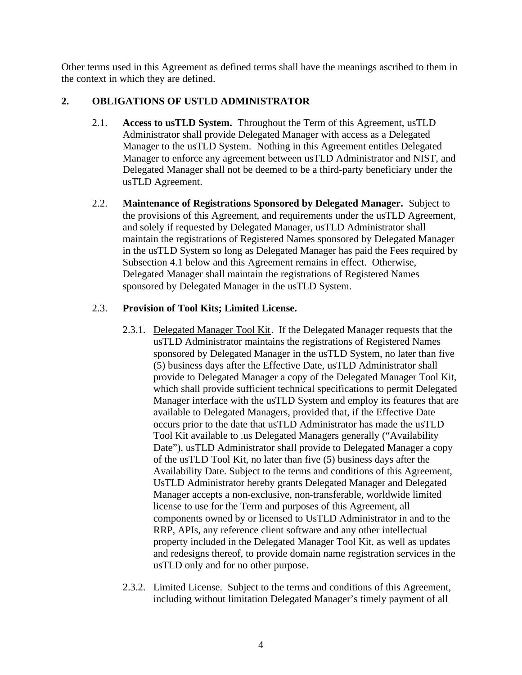Other terms used in this Agreement as defined terms shall have the meanings ascribed to them in the context in which they are defined.

## **2. OBLIGATIONS OF USTLD ADMINISTRATOR**

- 2.1. **Access to usTLD System.** Throughout the Term of this Agreement, usTLD Administrator shall provide Delegated Manager with access as a Delegated Manager to the usTLD System. Nothing in this Agreement entitles Delegated Manager to enforce any agreement between usTLD Administrator and NIST, and Delegated Manager shall not be deemed to be a third-party beneficiary under the usTLD Agreement.
- 2.2. **Maintenance of Registrations Sponsored by Delegated Manager.** Subject to the provisions of this Agreement, and requirements under the usTLD Agreement, and solely if requested by Delegated Manager, usTLD Administrator shall maintain the registrations of Registered Names sponsored by Delegated Manager in the usTLD System so long as Delegated Manager has paid the Fees required by Subsection 4.1 below and this Agreement remains in effect. Otherwise, Delegated Manager shall maintain the registrations of Registered Names sponsored by Delegated Manager in the usTLD System.

## 2.3. **Provision of Tool Kits; Limited License.**

- 2.3.1. Delegated Manager Tool Kit. If the Delegated Manager requests that the usTLD Administrator maintains the registrations of Registered Names sponsored by Delegated Manager in the usTLD System, no later than five (5) business days after the Effective Date, usTLD Administrator shall provide to Delegated Manager a copy of the Delegated Manager Tool Kit, which shall provide sufficient technical specifications to permit Delegated Manager interface with the usTLD System and employ its features that are available to Delegated Managers, provided that, if the Effective Date occurs prior to the date that usTLD Administrator has made the usTLD Tool Kit available to .us Delegated Managers generally ("Availability Date"), usTLD Administrator shall provide to Delegated Manager a copy of the usTLD Tool Kit, no later than five (5) business days after the Availability Date. Subject to the terms and conditions of this Agreement, UsTLD Administrator hereby grants Delegated Manager and Delegated Manager accepts a non-exclusive, non-transferable, worldwide limited license to use for the Term and purposes of this Agreement, all components owned by or licensed to UsTLD Administrator in and to the RRP, APIs, any reference client software and any other intellectual property included in the Delegated Manager Tool Kit, as well as updates and redesigns thereof, to provide domain name registration services in the usTLD only and for no other purpose.
- 2.3.2. Limited License. Subject to the terms and conditions of this Agreement, including without limitation Delegated Manager's timely payment of all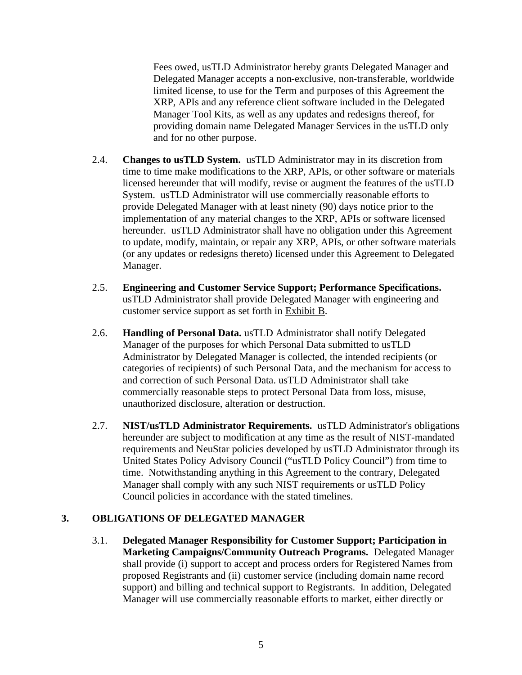Fees owed, usTLD Administrator hereby grants Delegated Manager and Delegated Manager accepts a non-exclusive, non-transferable, worldwide limited license, to use for the Term and purposes of this Agreement the XRP, APIs and any reference client software included in the Delegated Manager Tool Kits, as well as any updates and redesigns thereof, for providing domain name Delegated Manager Services in the usTLD only and for no other purpose.

- 2.4. **Changes to usTLD System.** usTLD Administrator may in its discretion from time to time make modifications to the XRP, APIs, or other software or materials licensed hereunder that will modify, revise or augment the features of the usTLD System. usTLD Administrator will use commercially reasonable efforts to provide Delegated Manager with at least ninety (90) days notice prior to the implementation of any material changes to the XRP, APIs or software licensed hereunder. usTLD Administrator shall have no obligation under this Agreement to update, modify, maintain, or repair any XRP, APIs, or other software materials (or any updates or redesigns thereto) licensed under this Agreement to Delegated Manager.
- 2.5. **Engineering and Customer Service Support; Performance Specifications.** usTLD Administrator shall provide Delegated Manager with engineering and customer service support as set forth in Exhibit B.
- 2.6. **Handling of Personal Data.** usTLD Administrator shall notify Delegated Manager of the purposes for which Personal Data submitted to usTLD Administrator by Delegated Manager is collected, the intended recipients (or categories of recipients) of such Personal Data, and the mechanism for access to and correction of such Personal Data. usTLD Administrator shall take commercially reasonable steps to protect Personal Data from loss, misuse, unauthorized disclosure, alteration or destruction.
- 2.7. **NIST/usTLD Administrator Requirements.** usTLD Administrator's obligations hereunder are subject to modification at any time as the result of NIST-mandated requirements and NeuStar policies developed by usTLD Administrator through its United States Policy Advisory Council ("usTLD Policy Council") from time to time. Notwithstanding anything in this Agreement to the contrary, Delegated Manager shall comply with any such NIST requirements or usTLD Policy Council policies in accordance with the stated timelines.

## **3. OBLIGATIONS OF DELEGATED MANAGER**

3.1. **Delegated Manager Responsibility for Customer Support; Participation in Marketing Campaigns/Community Outreach Programs.** Delegated Manager shall provide (i) support to accept and process orders for Registered Names from proposed Registrants and (ii) customer service (including domain name record support) and billing and technical support to Registrants. In addition, Delegated Manager will use commercially reasonable efforts to market, either directly or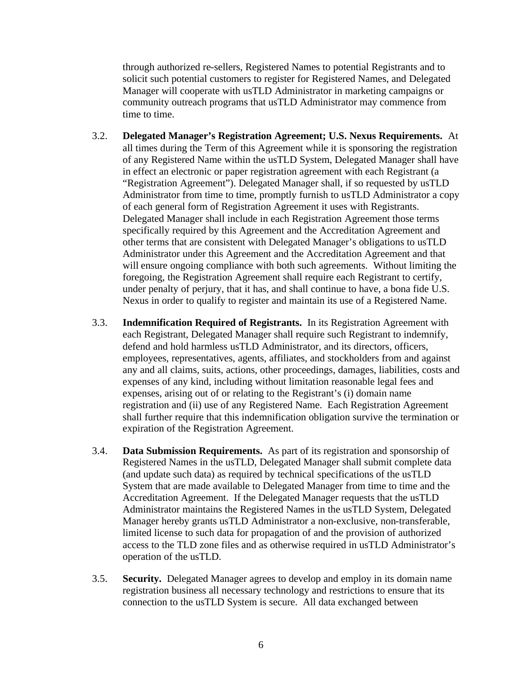through authorized re-sellers, Registered Names to potential Registrants and to solicit such potential customers to register for Registered Names, and Delegated Manager will cooperate with usTLD Administrator in marketing campaigns or community outreach programs that usTLD Administrator may commence from time to time.

- 3.2. **Delegated Manager's Registration Agreement; U.S. Nexus Requirements.** At all times during the Term of this Agreement while it is sponsoring the registration of any Registered Name within the usTLD System, Delegated Manager shall have in effect an electronic or paper registration agreement with each Registrant (a "Registration Agreement"). Delegated Manager shall, if so requested by usTLD Administrator from time to time, promptly furnish to usTLD Administrator a copy of each general form of Registration Agreement it uses with Registrants. Delegated Manager shall include in each Registration Agreement those terms specifically required by this Agreement and the Accreditation Agreement and other terms that are consistent with Delegated Manager's obligations to usTLD Administrator under this Agreement and the Accreditation Agreement and that will ensure ongoing compliance with both such agreements.Without limiting the foregoing, the Registration Agreement shall require each Registrant to certify, under penalty of perjury, that it has, and shall continue to have, a bona fide U.S. Nexus in order to qualify to register and maintain its use of a Registered Name.
- 3.3. **Indemnification Required of Registrants.** In its Registration Agreement with each Registrant, Delegated Manager shall require such Registrant to indemnify, defend and hold harmless usTLD Administrator, and its directors, officers, employees, representatives, agents, affiliates, and stockholders from and against any and all claims, suits, actions, other proceedings, damages, liabilities, costs and expenses of any kind, including without limitation reasonable legal fees and expenses, arising out of or relating to the Registrant's (i) domain name registration and (ii) use of any Registered Name. Each Registration Agreement shall further require that this indemnification obligation survive the termination or expiration of the Registration Agreement.
- 3.4. **Data Submission Requirements.** As part of its registration and sponsorship of Registered Names in the usTLD, Delegated Manager shall submit complete data (and update such data) as required by technical specifications of the usTLD System that are made available to Delegated Manager from time to time and the Accreditation Agreement. If the Delegated Manager requests that the usTLD Administrator maintains the Registered Names in the usTLD System, Delegated Manager hereby grants usTLD Administrator a non-exclusive, non-transferable, limited license to such data for propagation of and the provision of authorized access to the TLD zone files and as otherwise required in usTLD Administrator's operation of the usTLD.
- 3.5. **Security.** Delegated Manager agrees to develop and employ in its domain name registration business all necessary technology and restrictions to ensure that its connection to the usTLD System is secure. All data exchanged between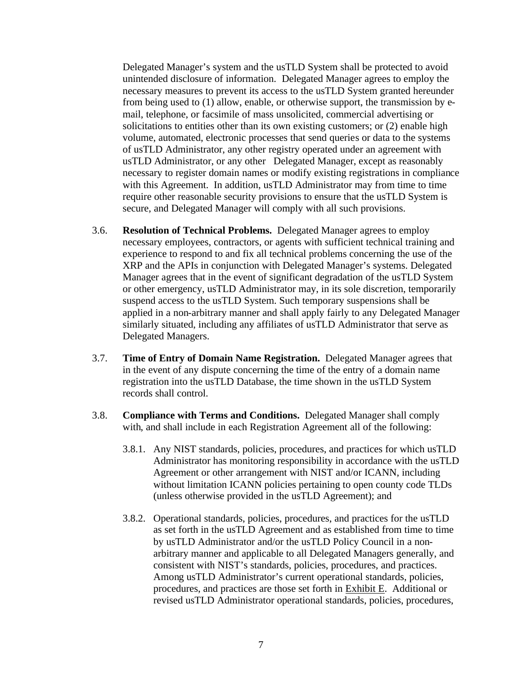Delegated Manager's system and the usTLD System shall be protected to avoid unintended disclosure of information.Delegated Manager agrees to employ the necessary measures to prevent its access to the usTLD System granted hereunder from being used to (1) allow, enable, or otherwise support, the transmission by email, telephone, or facsimile of mass unsolicited, commercial advertising or solicitations to entities other than its own existing customers; or (2) enable high volume, automated, electronic processes that send queries or data to the systems of usTLD Administrator, any other registry operated under an agreement with usTLD Administrator, or any other Delegated Manager, except as reasonably necessary to register domain names or modify existing registrations in compliance with this Agreement. In addition, usTLD Administrator may from time to time require other reasonable security provisions to ensure that the usTLD System is secure, and Delegated Manager will comply with all such provisions.

- 3.6. **Resolution of Technical Problems.** Delegated Manager agrees to employ necessary employees, contractors, or agents with sufficient technical training and experience to respond to and fix all technical problems concerning the use of the XRP and the APIs in conjunction with Delegated Manager's systems. Delegated Manager agrees that in the event of significant degradation of the usTLD System or other emergency, usTLD Administrator may, in its sole discretion, temporarily suspend access to the usTLD System. Such temporary suspensions shall be applied in a non-arbitrary manner and shall apply fairly to any Delegated Manager similarly situated, including any affiliates of usTLD Administrator that serve as Delegated Managers.
- 3.7. **Time of Entry of Domain Name Registration.** Delegated Manager agrees that in the event of any dispute concerning the time of the entry of a domain name registration into the usTLD Database, the time shown in the usTLD System records shall control.
- 3.8. **Compliance with Terms and Conditions.** Delegated Manager shall comply with, and shall include in each Registration Agreement all of the following:
	- 3.8.1. Any NIST standards, policies, procedures, and practices for which usTLD Administrator has monitoring responsibility in accordance with the usTLD Agreement or other arrangement with NIST and/or ICANN, including without limitation ICANN policies pertaining to open county code TLDs (unless otherwise provided in the usTLD Agreement); and
	- 3.8.2. Operational standards, policies, procedures, and practices for the usTLD as set forth in the usTLD Agreement and as established from time to time by usTLD Administrator and/or the usTLD Policy Council in a nonarbitrary manner and applicable to all Delegated Managers generally, and consistent with NIST's standards, policies, procedures, and practices. Among usTLD Administrator's current operational standards, policies, procedures, and practices are those set forth in Exhibit E. Additional or revised usTLD Administrator operational standards, policies, procedures,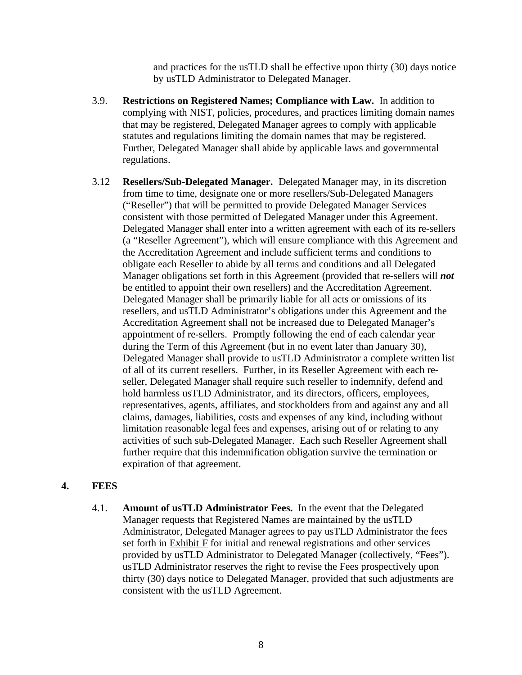and practices for the usTLD shall be effective upon thirty (30) days notice by usTLD Administrator to Delegated Manager.

- 3.9. **Restrictions on Registered Names; Compliance with Law.** In addition to complying with NIST, policies, procedures, and practices limiting domain names that may be registered, Delegated Manager agrees to comply with applicable statutes and regulations limiting the domain names that may be registered. Further, Delegated Manager shall abide by applicable laws and governmental regulations.
- 3.12 **Resellers/Sub-Delegated Manager.** Delegated Manager may, in its discretion from time to time, designate one or more resellers/Sub-Delegated Managers ("Reseller") that will be permitted to provide Delegated Manager Services consistent with those permitted of Delegated Manager under this Agreement. Delegated Manager shall enter into a written agreement with each of its re-sellers (a "Reseller Agreement"), which will ensure compliance with this Agreement and the Accreditation Agreement and include sufficient terms and conditions to obligate each Reseller to abide by all terms and conditions and all Delegated Manager obligations set forth in this Agreement (provided that re-sellers will *not* be entitled to appoint their own resellers) and the Accreditation Agreement. Delegated Manager shall be primarily liable for all acts or omissions of its resellers, and usTLD Administrator's obligations under this Agreement and the Accreditation Agreement shall not be increased due to Delegated Manager's appointment of re-sellers. Promptly following the end of each calendar year during the Term of this Agreement (but in no event later than January 30), Delegated Manager shall provide to usTLD Administrator a complete written list of all of its current resellers. Further, in its Reseller Agreement with each reseller, Delegated Manager shall require such reseller to indemnify, defend and hold harmless usTLD Administrator, and its directors, officers, employees, representatives, agents, affiliates, and stockholders from and against any and all claims, damages, liabilities, costs and expenses of any kind, including without limitation reasonable legal fees and expenses, arising out of or relating to any activities of such sub-Delegated Manager. Each such Reseller Agreement shall further require that this indemnification obligation survive the termination or expiration of that agreement.

#### **4. FEES**

4.1. **Amount of usTLD Administrator Fees.** In the event that the Delegated Manager requests that Registered Names are maintained by the usTLD Administrator, Delegated Manager agrees to pay usTLD Administrator the fees set forth in  $Exhibit F$  for initial and renewal registrations and other services provided by usTLD Administrator to Delegated Manager (collectively, "Fees"). usTLD Administrator reserves the right to revise the Fees prospectively upon thirty (30) days notice to Delegated Manager, provided that such adjustments are consistent with the usTLD Agreement.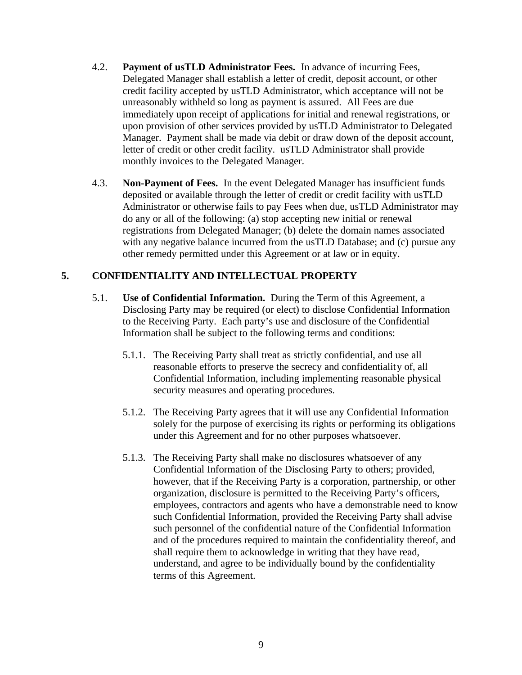- 4.2. **Payment of usTLD Administrator Fees.** In advance of incurring Fees, Delegated Manager shall establish a letter of credit, deposit account, or other credit facility accepted by usTLD Administrator, which acceptance will not be unreasonably withheld so long as payment is assured. All Fees are due immediately upon receipt of applications for initial and renewal registrations, or upon provision of other services provided by usTLD Administrator to Delegated Manager. Payment shall be made via debit or draw down of the deposit account, letter of credit or other credit facility. usTLD Administrator shall provide monthly invoices to the Delegated Manager.
- 4.3. **Non-Payment of Fees.** In the event Delegated Manager has insufficient funds deposited or available through the letter of credit or credit facility with usTLD Administrator or otherwise fails to pay Fees when due, usTLD Administrator may do any or all of the following: (a) stop accepting new initial or renewal registrations from Delegated Manager; (b) delete the domain names associated with any negative balance incurred from the usTLD Database; and (c) pursue any other remedy permitted under this Agreement or at law or in equity.

## **5. CONFIDENTIALITY AND INTELLECTUAL PROPERTY**

- 5.1. **Use of Confidential Information.** During the Term of this Agreement, a Disclosing Party may be required (or elect) to disclose Confidential Information to the Receiving Party. Each party's use and disclosure of the Confidential Information shall be subject to the following terms and conditions:
	- 5.1.1. The Receiving Party shall treat as strictly confidential, and use all reasonable efforts to preserve the secrecy and confidentiality of, all Confidential Information, including implementing reasonable physical security measures and operating procedures.
	- 5.1.2. The Receiving Party agrees that it will use any Confidential Information solely for the purpose of exercising its rights or performing its obligations under this Agreement and for no other purposes whatsoever.
	- 5.1.3. The Receiving Party shall make no disclosures whatsoever of any Confidential Information of the Disclosing Party to others; provided, however, that if the Receiving Party is a corporation, partnership, or other organization, disclosure is permitted to the Receiving Party's officers, employees, contractors and agents who have a demonstrable need to know such Confidential Information, provided the Receiving Party shall advise such personnel of the confidential nature of the Confidential Information and of the procedures required to maintain the confidentiality thereof, and shall require them to acknowledge in writing that they have read, understand, and agree to be individually bound by the confidentiality terms of this Agreement.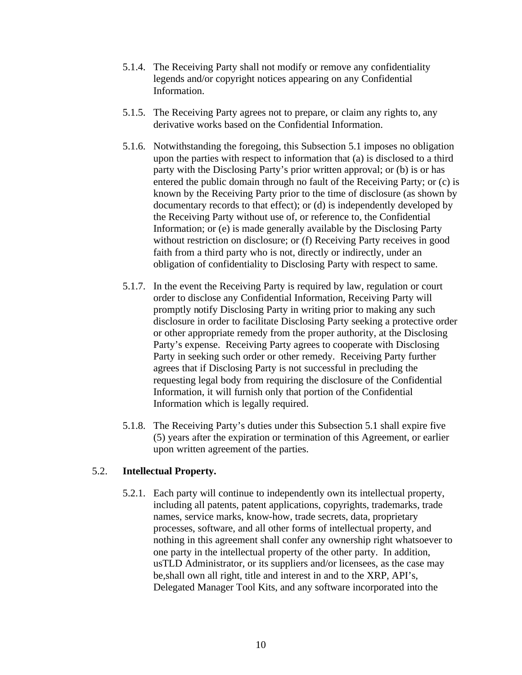- 5.1.4. The Receiving Party shall not modify or remove any confidentiality legends and/or copyright notices appearing on any Confidential Information.
- 5.1.5. The Receiving Party agrees not to prepare, or claim any rights to, any derivative works based on the Confidential Information.
- 5.1.6. Notwithstanding the foregoing, this Subsection 5.1 imposes no obligation upon the parties with respect to information that (a) is disclosed to a third party with the Disclosing Party's prior written approval; or (b) is or has entered the public domain through no fault of the Receiving Party; or (c) is known by the Receiving Party prior to the time of disclosure (as shown by documentary records to that effect); or (d) is independently developed by the Receiving Party without use of, or reference to, the Confidential Information; or (e) is made generally available by the Disclosing Party without restriction on disclosure; or (f) Receiving Party receives in good faith from a third party who is not, directly or indirectly, under an obligation of confidentiality to Disclosing Party with respect to same.
- 5.1.7. In the event the Receiving Party is required by law, regulation or court order to disclose any Confidential Information, Receiving Party will promptly notify Disclosing Party in writing prior to making any such disclosure in order to facilitate Disclosing Party seeking a protective order or other appropriate remedy from the proper authority, at the Disclosing Party's expense. Receiving Party agrees to cooperate with Disclosing Party in seeking such order or other remedy. Receiving Party further agrees that if Disclosing Party is not successful in precluding the requesting legal body from requiring the disclosure of the Confidential Information, it will furnish only that portion of the Confidential Information which is legally required.
- 5.1.8. The Receiving Party's duties under this Subsection 5.1 shall expire five (5) years after the expiration or termination of this Agreement, or earlier upon written agreement of the parties.

#### 5.2. **Intellectual Property.**

5.2.1. Each party will continue to independently own its intellectual property, including all patents, patent applications, copyrights, trademarks, trade names, service marks, know-how, trade secrets, data, proprietary processes, software, and all other forms of intellectual property, and nothing in this agreement shall confer any ownership right whatsoever to one party in the intellectual property of the other party. In addition, usTLD Administrator, or its suppliers and/or licensees, as the case may be,shall own all right, title and interest in and to the XRP, API's, Delegated Manager Tool Kits, and any software incorporated into the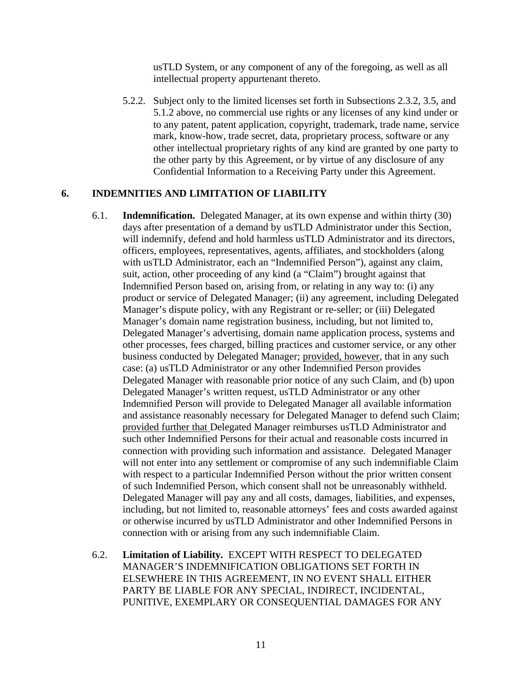usTLD System, or any component of any of the foregoing, as well as all intellectual property appurtenant thereto.

5.2.2. Subject only to the limited licenses set forth in Subsections 2.3.2, 3.5, and 5.1.2 above, no commercial use rights or any licenses of any kind under or to any patent, patent application, copyright, trademark, trade name, service mark, know-how, trade secret, data, proprietary process, software or any other intellectual proprietary rights of any kind are granted by one party to the other party by this Agreement, or by virtue of any disclosure of any Confidential Information to a Receiving Party under this Agreement.

#### **6. INDEMNITIES AND LIMITATION OF LIABILITY**

- 6.1. **Indemnification.** Delegated Manager, at its own expense and within thirty (30) days after presentation of a demand by usTLD Administrator under this Section, will indemnify, defend and hold harmless usTLD Administrator and its directors, officers, employees, representatives, agents, affiliates, and stockholders (along with usTLD Administrator, each an "Indemnified Person"), against any claim, suit, action, other proceeding of any kind (a "Claim") brought against that Indemnified Person based on, arising from, or relating in any way to: (i) any product or service of Delegated Manager; (ii) any agreement, including Delegated Manager's dispute policy, with any Registrant or re-seller; or (iii) Delegated Manager's domain name registration business, including, but not limited to, Delegated Manager's advertising, domain name application process, systems and other processes, fees charged, billing practices and customer service, or any other business conducted by Delegated Manager; provided, however, that in any such case: (a) usTLD Administrator or any other Indemnified Person provides Delegated Manager with reasonable prior notice of any such Claim, and (b) upon Delegated Manager's written request, usTLD Administrator or any other Indemnified Person will provide to Delegated Manager all available information and assistance reasonably necessary for Delegated Manager to defend such Claim; provided further that Delegated Manager reimburses usTLD Administrator and such other Indemnified Persons for their actual and reasonable costs incurred in connection with providing such information and assistance. Delegated Manager will not enter into any settlement or compromise of any such indemnifiable Claim with respect to a particular Indemnified Person without the prior written consent of such Indemnified Person, which consent shall not be unreasonably withheld. Delegated Manager will pay any and all costs, damages, liabilities, and expenses, including, but not limited to, reasonable attorneys' fees and costs awarded against or otherwise incurred by usTLD Administrator and other Indemnified Persons in connection with or arising from any such indemnifiable Claim.
- 6.2. **Limitation of Liability.** EXCEPT WITH RESPECT TO DELEGATED MANAGER'S INDEMNIFICATION OBLIGATIONS SET FORTH IN ELSEWHERE IN THIS AGREEMENT, IN NO EVENT SHALL EITHER PARTY BE LIABLE FOR ANY SPECIAL, INDIRECT, INCIDENTAL, PUNITIVE, EXEMPLARY OR CONSEQUENTIAL DAMAGES FOR ANY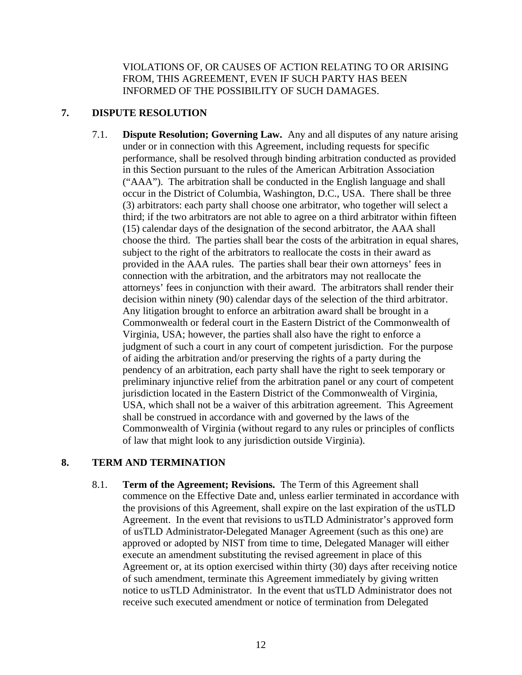VIOLATIONS OF, OR CAUSES OF ACTION RELATING TO OR ARISING FROM, THIS AGREEMENT, EVEN IF SUCH PARTY HAS BEEN INFORMED OF THE POSSIBILITY OF SUCH DAMAGES.

## **7. DISPUTE RESOLUTION**

7.1. **Dispute Resolution; Governing Law.** Any and all disputes of any nature arising under or in connection with this Agreement, including requests for specific performance, shall be resolved through binding arbitration conducted as provided in this Section pursuant to the rules of the American Arbitration Association ("AAA"). The arbitration shall be conducted in the English language and shall occur in the District of Columbia, Washington, D.C., USA. There shall be three (3) arbitrators: each party shall choose one arbitrator, who together will select a third; if the two arbitrators are not able to agree on a third arbitrator within fifteen (15) calendar days of the designation of the second arbitrator, the AAA shall choose the third. The parties shall bear the costs of the arbitration in equal shares, subject to the right of the arbitrators to reallocate the costs in their award as provided in the AAA rules. The parties shall bear their own attorneys' fees in connection with the arbitration, and the arbitrators may not reallocate the attorneys' fees in conjunction with their award. The arbitrators shall render their decision within ninety (90) calendar days of the selection of the third arbitrator. Any litigation brought to enforce an arbitration award shall be brought in a Commonwealth or federal court in the Eastern District of the Commonwealth of Virginia, USA; however, the parties shall also have the right to enforce a judgment of such a court in any court of competent jurisdiction. For the purpose of aiding the arbitration and/or preserving the rights of a party during the pendency of an arbitration, each party shall have the right to seek temporary or preliminary injunctive relief from the arbitration panel or any court of competent jurisdiction located in the Eastern District of the Commonwealth of Virginia, USA, which shall not be a waiver of this arbitration agreement. This Agreement shall be construed in accordance with and governed by the laws of the Commonwealth of Virginia (without regard to any rules or principles of conflicts of law that might look to any jurisdiction outside Virginia).

## **8. TERM AND TERMINATION**

8.1. **Term of the Agreement; Revisions.** The Term of this Agreement shall commence on the Effective Date and, unless earlier terminated in accordance with the provisions of this Agreement, shall expire on the last expiration of the usTLD Agreement. In the event that revisions to usTLD Administrator's approved form of usTLD Administrator-Delegated Manager Agreement (such as this one) are approved or adopted by NIST from time to time, Delegated Manager will either execute an amendment substituting the revised agreement in place of this Agreement or, at its option exercised within thirty (30) days after receiving notice of such amendment, terminate this Agreement immediately by giving written notice to usTLD Administrator. In the event that usTLD Administrator does not receive such executed amendment or notice of termination from Delegated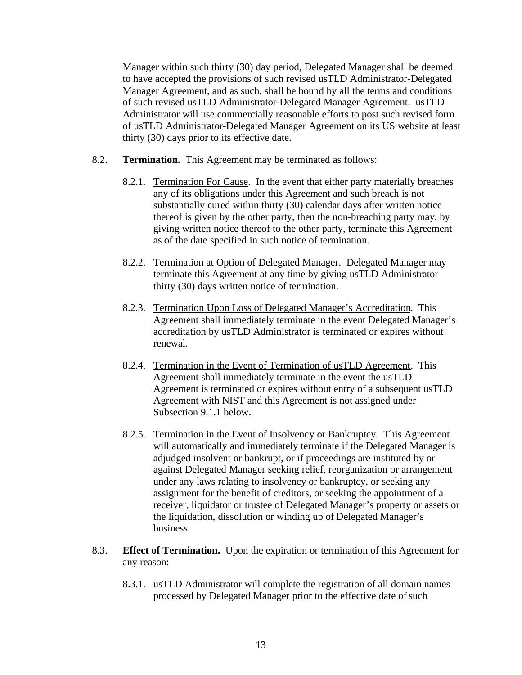Manager within such thirty (30) day period, Delegated Manager shall be deemed to have accepted the provisions of such revised usTLD Administrator-Delegated Manager Agreement, and as such, shall be bound by all the terms and conditions of such revised usTLD Administrator-Delegated Manager Agreement. usTLD Administrator will use commercially reasonable efforts to post such revised form of usTLD Administrator-Delegated Manager Agreement on its US website at least thirty (30) days prior to its effective date.

- 8.2. **Termination.** This Agreement may be terminated as follows:
	- 8.2.1. Termination For Cause. In the event that either party materially breaches any of its obligations under this Agreement and such breach is not substantially cured within thirty (30) calendar days after written notice thereof is given by the other party, then the non-breaching party may, by giving written notice thereof to the other party, terminate this Agreement as of the date specified in such notice of termination.
	- 8.2.2. Termination at Option of Delegated Manager. Delegated Manager may terminate this Agreement at any time by giving usTLD Administrator thirty (30) days written notice of termination.
	- 8.2.3. Termination Upon Loss of Delegated Manager's Accreditation. This Agreement shall immediately terminate in the event Delegated Manager's accreditation by usTLD Administrator is terminated or expires without renewal.
	- 8.2.4. Termination in the Event of Termination of usTLD Agreement. This Agreement shall immediately terminate in the event the usTLD Agreement is terminated or expires without entry of a subsequent usTLD Agreement with NIST and this Agreement is not assigned under Subsection 9.1.1 below.
	- 8.2.5. Termination in the Event of Insolvency or Bankruptcy. This Agreement will automatically and immediately terminate if the Delegated Manager is adjudged insolvent or bankrupt, or if proceedings are instituted by or against Delegated Manager seeking relief, reorganization or arrangement under any laws relating to insolvency or bankruptcy, or seeking any assignment for the benefit of creditors, or seeking the appointment of a receiver, liquidator or trustee of Delegated Manager's property or assets or the liquidation, dissolution or winding up of Delegated Manager's business.
- 8.3. **Effect of Termination.** Upon the expiration or termination of this Agreement for any reason:
	- 8.3.1. usTLD Administrator will complete the registration of all domain names processed by Delegated Manager prior to the effective date of such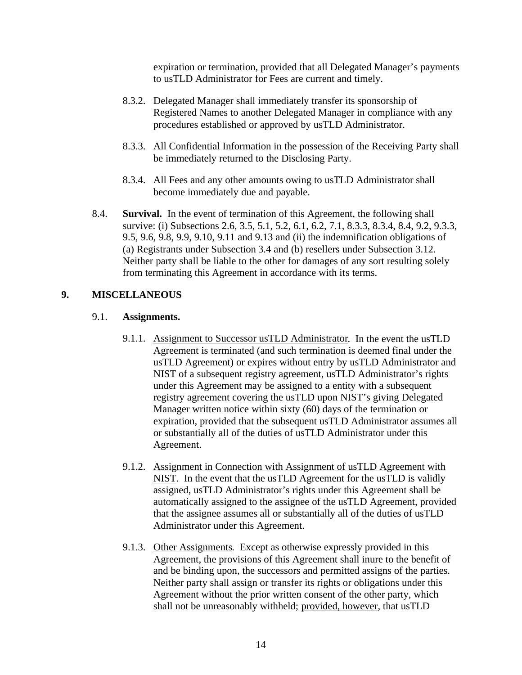expiration or termination, provided that all Delegated Manager's payments to usTLD Administrator for Fees are current and timely.

- 8.3.2. Delegated Manager shall immediately transfer its sponsorship of Registered Names to another Delegated Manager in compliance with any procedures established or approved by usTLD Administrator.
- 8.3.3. All Confidential Information in the possession of the Receiving Party shall be immediately returned to the Disclosing Party.
- 8.3.4. All Fees and any other amounts owing to usTLD Administrator shall become immediately due and payable.
- 8.4. **Survival.** In the event of termination of this Agreement, the following shall survive: (i) Subsections 2.6, 3.5, 5.1, 5.2, 6.1, 6.2, 7.1, 8.3.3, 8.3.4, 8.4, 9.2, 9.3.3, 9.5, 9.6, 9.8, 9.9, 9.10, 9.11 and 9.13 and (ii) the indemnification obligations of (a) Registrants under Subsection 3.4 and (b) resellers under Subsection 3.12. Neither party shall be liable to the other for damages of any sort resulting solely from terminating this Agreement in accordance with its terms.

## **9. MISCELLANEOUS**

## 9.1. **Assignments.**

- 9.1.1. Assignment to Successor usTLD Administrator. In the event the usTLD Agreement is terminated (and such termination is deemed final under the usTLD Agreement) or expires without entry by usTLD Administrator and NIST of a subsequent registry agreement, usTLD Administrator's rights under this Agreement may be assigned to a entity with a subsequent registry agreement covering the usTLD upon NIST's giving Delegated Manager written notice within sixty (60) days of the termination or expiration, provided that the subsequent usTLD Administrator assumes all or substantially all of the duties of usTLD Administrator under this Agreement.
- 9.1.2. Assignment in Connection with Assignment of usTLD Agreement with NIST. In the event that the usTLD Agreement for the usTLD is validly assigned, usTLD Administrator's rights under this Agreement shall be automatically assigned to the assignee of the usTLD Agreement, provided that the assignee assumes all or substantially all of the duties of usTLD Administrator under this Agreement.
- 9.1.3. Other Assignments. Except as otherwise expressly provided in this Agreement, the provisions of this Agreement shall inure to the benefit of and be binding upon, the successors and permitted assigns of the parties. Neither party shall assign or transfer its rights or obligations under this Agreement without the prior written consent of the other party, which shall not be unreasonably withheld; provided, however, that usTLD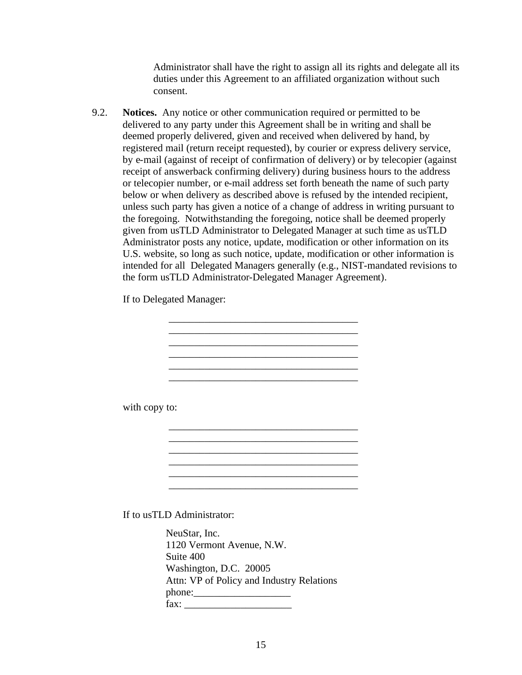Administrator shall have the right to assign all its rights and delegate all its duties under this Agreement to an affiliated organization without such consent.

9.2. **Notices.** Any notice or other communication required or permitted to be delivered to any party under this Agreement shall be in writing and shall be deemed properly delivered, given and received when delivered by hand, by registered mail (return receipt requested), by courier or express delivery service, by e-mail (against of receipt of confirmation of delivery) or by telecopier (against receipt of answerback confirming delivery) during business hours to the address or telecopier number, or e-mail address set forth beneath the name of such party below or when delivery as described above is refused by the intended recipient, unless such party has given a notice of a change of address in writing pursuant to the foregoing. Notwithstanding the foregoing, notice shall be deemed properly given from usTLD Administrator to Delegated Manager at such time as usTLD Administrator posts any notice, update, modification or other information on its U.S. website, so long as such notice, update, modification or other information is intended for all Delegated Managers generally (e.g., NIST-mandated revisions to the form usTLD Administrator-Delegated Manager Agreement).

If to Delegated Manager:

\_\_\_\_\_\_\_\_\_\_\_\_\_\_\_\_\_\_\_\_\_\_\_\_\_\_\_\_\_\_\_\_\_\_\_\_\_ \_\_\_\_\_\_\_\_\_\_\_\_\_\_\_\_\_\_\_\_\_\_\_\_\_\_\_\_\_\_\_\_\_\_\_\_\_ \_\_\_\_\_\_\_\_\_\_\_\_\_\_\_\_\_\_\_\_\_\_\_\_\_\_\_\_\_\_\_\_\_\_\_\_\_ \_\_\_\_\_\_\_\_\_\_\_\_\_\_\_\_\_\_\_\_\_\_\_\_\_\_\_\_\_\_\_\_\_\_\_\_\_ \_\_\_\_\_\_\_\_\_\_\_\_\_\_\_\_\_\_\_\_\_\_\_\_\_\_\_\_\_\_\_\_\_\_\_\_\_

\_\_\_\_\_\_\_\_\_\_\_\_\_\_\_\_\_\_\_\_\_\_\_\_\_\_\_\_\_\_\_\_\_\_\_\_\_ \_\_\_\_\_\_\_\_\_\_\_\_\_\_\_\_\_\_\_\_\_\_\_\_\_\_\_\_\_\_\_\_\_\_\_\_\_

\_\_\_\_\_\_\_\_\_\_\_\_\_\_\_\_\_\_\_\_\_\_\_\_\_\_\_\_\_\_\_\_\_\_\_\_\_

with copy to:

If to usTLD Administrator:

NeuStar, Inc. 1120 Vermont Avenue, N.W. Suite 400 Washington, D.C. 20005 Attn: VP of Policy and Industry Relations phone:\_\_\_\_\_\_\_\_\_\_\_\_\_\_\_\_\_\_\_ fax: \_\_\_\_\_\_\_\_\_\_\_\_\_\_\_\_\_\_\_\_\_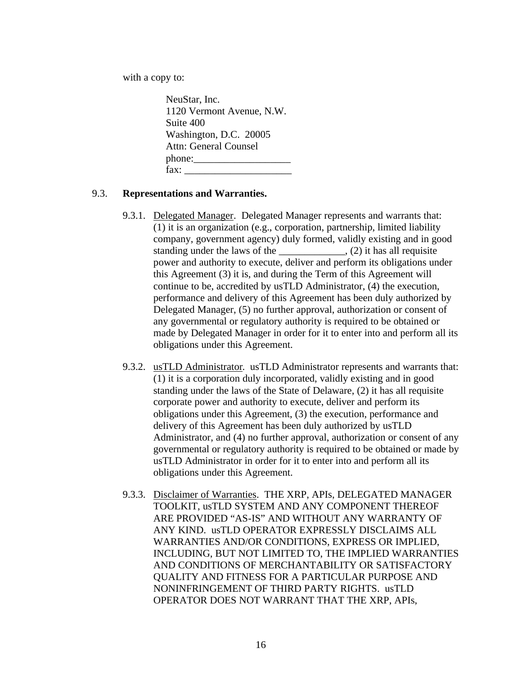with a copy to:

NeuStar, Inc. 1120 Vermont Avenue, N.W. Suite 400 Washington, D.C. 20005 Attn: General Counsel phone:\_\_\_\_\_\_\_\_\_\_\_\_\_\_\_\_\_\_\_  $\text{fax}:$ 

## 9.3. **Representations and Warranties.**

- 9.3.1. Delegated Manager. Delegated Manager represents and warrants that: (1) it is an organization (e.g., corporation, partnership, limited liability company, government agency) duly formed, validly existing and in good standing under the laws of the \_\_\_\_\_\_\_\_\_\_\_\_\_, (2) it has all requisite power and authority to execute, deliver and perform its obligations under this Agreement (3) it is, and during the Term of this Agreement will continue to be, accredited by usTLD Administrator, (4) the execution, performance and delivery of this Agreement has been duly authorized by Delegated Manager, (5) no further approval, authorization or consent of any governmental or regulatory authority is required to be obtained or made by Delegated Manager in order for it to enter into and perform all its obligations under this Agreement.
- 9.3.2. usTLD Administrator. usTLD Administrator represents and warrants that: (1) it is a corporation duly incorporated, validly existing and in good standing under the laws of the State of Delaware, (2) it has all requisite corporate power and authority to execute, deliver and perform its obligations under this Agreement, (3) the execution, performance and delivery of this Agreement has been duly authorized by usTLD Administrator, and (4) no further approval, authorization or consent of any governmental or regulatory authority is required to be obtained or made by usTLD Administrator in order for it to enter into and perform all its obligations under this Agreement.
- 9.3.3. Disclaimer of Warranties. THE XRP, APIs, DELEGATED MANAGER TOOLKIT, usTLD SYSTEM AND ANY COMPONENT THEREOF ARE PROVIDED "AS-IS" AND WITHOUT ANY WARRANTY OF ANY KIND. usTLD OPERATOR EXPRESSLY DISCLAIMS ALL WARRANTIES AND/OR CONDITIONS, EXPRESS OR IMPLIED, INCLUDING, BUT NOT LIMITED TO, THE IMPLIED WARRANTIES AND CONDITIONS OF MERCHANTABILITY OR SATISFACTORY QUALITY AND FITNESS FOR A PARTICULAR PURPOSE AND NONINFRINGEMENT OF THIRD PARTY RIGHTS. usTLD OPERATOR DOES NOT WARRANT THAT THE XRP, APIs,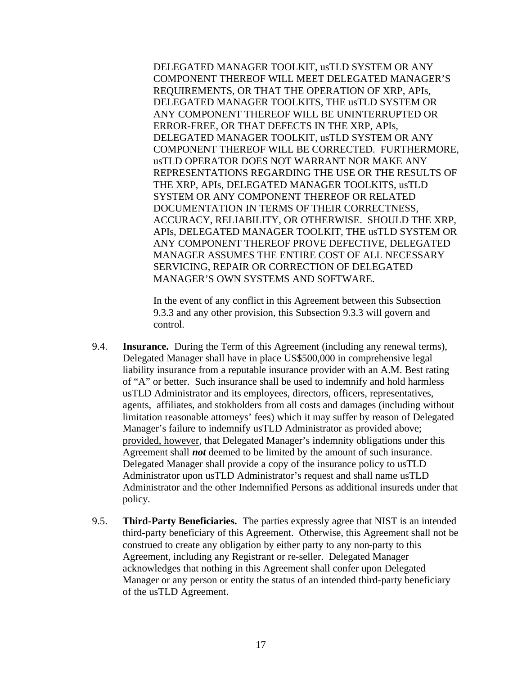DELEGATED MANAGER TOOLKIT, usTLD SYSTEM OR ANY COMPONENT THEREOF WILL MEET DELEGATED MANAGER'S REQUIREMENTS, OR THAT THE OPERATION OF XRP, APIs, DELEGATED MANAGER TOOLKITS, THE usTLD SYSTEM OR ANY COMPONENT THEREOF WILL BE UNINTERRUPTED OR ERROR-FREE, OR THAT DEFECTS IN THE XRP, APIs, DELEGATED MANAGER TOOLKIT, usTLD SYSTEM OR ANY COMPONENT THEREOF WILL BE CORRECTED. FURTHERMORE, usTLD OPERATOR DOES NOT WARRANT NOR MAKE ANY REPRESENTATIONS REGARDING THE USE OR THE RESULTS OF THE XRP, APIs, DELEGATED MANAGER TOOLKITS, usTLD SYSTEM OR ANY COMPONENT THEREOF OR RELATED DOCUMENTATION IN TERMS OF THEIR CORRECTNESS, ACCURACY, RELIABILITY, OR OTHERWISE. SHOULD THE XRP, APIs, DELEGATED MANAGER TOOLKIT, THE usTLD SYSTEM OR ANY COMPONENT THEREOF PROVE DEFECTIVE, DELEGATED MANAGER ASSUMES THE ENTIRE COST OF ALL NECESSARY SERVICING, REPAIR OR CORRECTION OF DELEGATED MANAGER'S OWN SYSTEMS AND SOFTWARE.

In the event of any conflict in this Agreement between this Subsection 9.3.3 and any other provision, this Subsection 9.3.3 will govern and control.

- 9.4. **Insurance.** During the Term of this Agreement (including any renewal terms), Delegated Manager shall have in place US\$500,000 in comprehensive legal liability insurance from a reputable insurance provider with an A.M. Best rating of "A" or better. Such insurance shall be used to indemnify and hold harmless usTLD Administrator and its employees, directors, officers, representatives, agents, affiliates, and stokholders from all costs and damages (including without limitation reasonable attorneys' fees) which it may suffer by reason of Delegated Manager's failure to indemnify usTLD Administrator as provided above; provided, however, that Delegated Manager's indemnity obligations under this Agreement shall *not* deemed to be limited by the amount of such insurance. Delegated Manager shall provide a copy of the insurance policy to usTLD Administrator upon usTLD Administrator's request and shall name usTLD Administrator and the other Indemnified Persons as additional insureds under that policy.
- 9.5. **Third-Party Beneficiaries.** The parties expressly agree that NIST is an intended third-party beneficiary of this Agreement. Otherwise, this Agreement shall not be construed to create any obligation by either party to any non-party to this Agreement, including any Registrant or re-seller. Delegated Manager acknowledges that nothing in this Agreement shall confer upon Delegated Manager or any person or entity the status of an intended third-party beneficiary of the usTLD Agreement.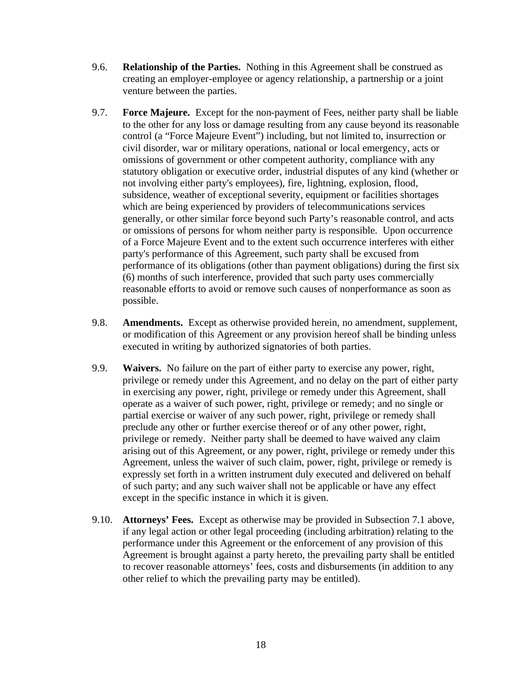- 9.6. **Relationship of the Parties.** Nothing in this Agreement shall be construed as creating an employer-employee or agency relationship, a partnership or a joint venture between the parties.
- 9.7. **Force Majeure.** Except for the non-payment of Fees, neither party shall be liable to the other for any loss or damage resulting from any cause beyond its reasonable control (a "Force Majeure Event") including, but not limited to, insurrection or civil disorder, war or military operations, national or local emergency, acts or omissions of government or other competent authority, compliance with any statutory obligation or executive order, industrial disputes of any kind (whether or not involving either party's employees), fire, lightning, explosion, flood, subsidence, weather of exceptional severity, equipment or facilities shortages which are being experienced by providers of telecommunications services generally, or other similar force beyond such Party's reasonable control, and acts or omissions of persons for whom neither party is responsible. Upon occurrence of a Force Majeure Event and to the extent such occurrence interferes with either party's performance of this Agreement, such party shall be excused from performance of its obligations (other than payment obligations) during the first six (6) months of such interference, provided that such party uses commercially reasonable efforts to avoid or remove such causes of nonperformance as soon as possible.
- 9.8. **Amendments.** Except as otherwise provided herein, no amendment, supplement, or modification of this Agreement or any provision hereof shall be binding unless executed in writing by authorized signatories of both parties.
- 9.9. **Waivers.** No failure on the part of either party to exercise any power, right, privilege or remedy under this Agreement, and no delay on the part of either party in exercising any power, right, privilege or remedy under this Agreement, shall operate as a waiver of such power, right, privilege or remedy; and no single or partial exercise or waiver of any such power, right, privilege or remedy shall preclude any other or further exercise thereof or of any other power, right, privilege or remedy. Neither party shall be deemed to have waived any claim arising out of this Agreement, or any power, right, privilege or remedy under this Agreement, unless the waiver of such claim, power, right, privilege or remedy is expressly set forth in a written instrument duly executed and delivered on behalf of such party; and any such waiver shall not be applicable or have any effect except in the specific instance in which it is given.
- 9.10. **Attorneys' Fees.** Except as otherwise may be provided in Subsection 7.1 above, if any legal action or other legal proceeding (including arbitration) relating to the performance under this Agreement or the enforcement of any provision of this Agreement is brought against a party hereto, the prevailing party shall be entitled to recover reasonable attorneys' fees, costs and disbursements (in addition to any other relief to which the prevailing party may be entitled).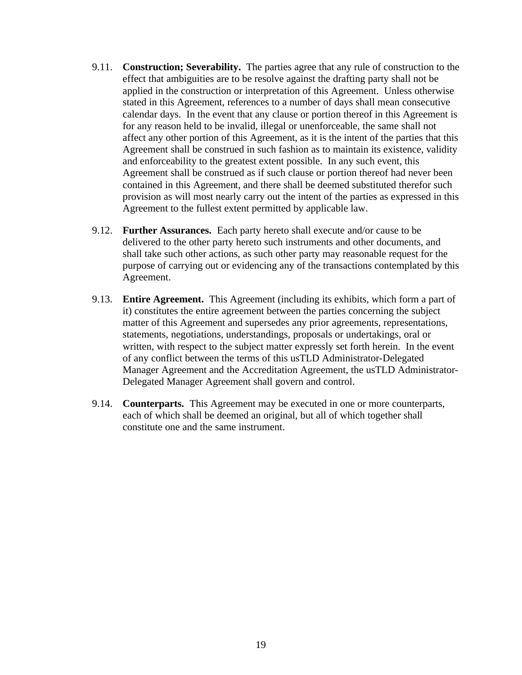- 9.11. **Construction; Severability.** The parties agree that any rule of construction to the effect that ambiguities are to be resolve against the drafting party shall not be applied in the construction or interpretation of this Agreement. Unless otherwise stated in this Agreement, references to a number of days shall mean consecutive calendar days. In the event that any clause or portion thereof in this Agreement is for any reason held to be invalid, illegal or unenforceable, the same shall not affect any other portion of this Agreement, as it is the intent of the parties that this Agreement shall be construed in such fashion as to maintain its existence, validity and enforceability to the greatest extent possible. In any such event, this Agreement shall be construed as if such clause or portion thereof had never been contained in this Agreement, and there shall be deemed substituted therefor such provision as will most nearly carry out the intent of the parties as expressed in this Agreement to the fullest extent permitted by applicable law.
- 9.12. **Further Assurances.** Each party hereto shall execute and/or cause to be delivered to the other party hereto such instruments and other documents, and shall take such other actions, as such other party may reasonable request for the purpose of carrying out or evidencing any of the transactions contemplated by this Agreement.
- 9.13. **Entire Agreement.** This Agreement (including its exhibits, which form a part of it) constitutes the entire agreement between the parties concerning the subject matter of this Agreement and supersedes any prior agreements, representations, statements, negotiations, understandings, proposals or undertakings, oral or written, with respect to the subject matter expressly set forth herein. In the event of any conflict between the terms of this usTLD Administrator-Delegated Manager Agreement and the Accreditation Agreement, the usTLD Administrator-Delegated Manager Agreement shall govern and control.
- 9.14. **Counterparts.** This Agreement may be executed in one or more counterparts, each of which shall be deemed an original, but all of which together shall constitute one and the same instrument.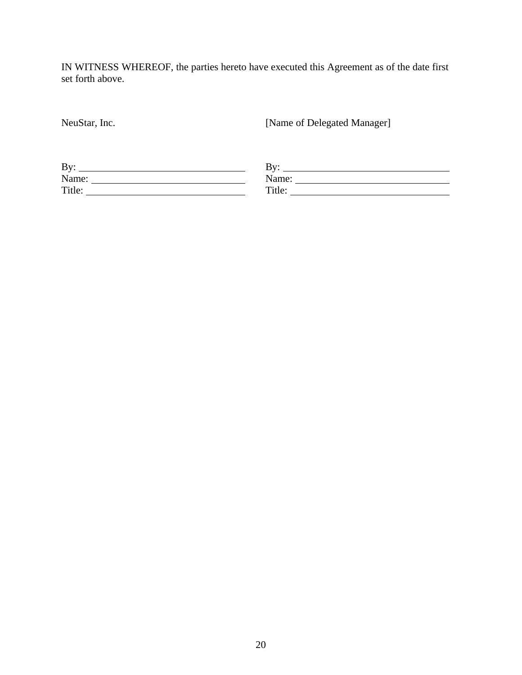IN WITNESS WHEREOF, the parties hereto have executed this Agreement as of the date first set forth above.

NeuStar, Inc. [Name of Delegated Manager]

| By:    | $\mathbf{D}_{\mathbf{v}}$<br>≖ |
|--------|--------------------------------|
| Name:  | Name:                          |
| Title: | Title:                         |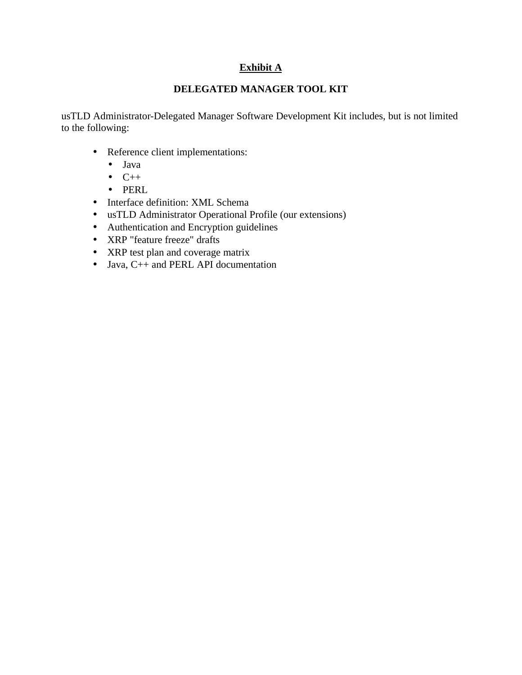# **Exhibit A**

## **DELEGATED MANAGER TOOL KIT**

usTLD Administrator-Delegated Manager Software Development Kit includes, but is not limited to the following:

- Reference client implementations:
	- Java
	- $\bullet$   $C++$
	- PERL
- Interface definition: XML Schema
- usTLD Administrator Operational Profile (our extensions)
- Authentication and Encryption guidelines
- XRP "feature freeze" drafts
- XRP test plan and coverage matrix
- Java, C++ and PERL API documentation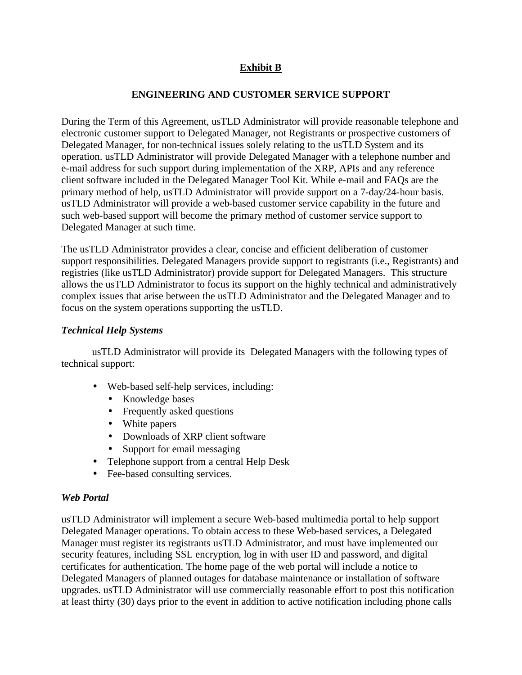# **Exhibit B**

#### **ENGINEERING AND CUSTOMER SERVICE SUPPORT**

During the Term of this Agreement, usTLD Administrator will provide reasonable telephone and electronic customer support to Delegated Manager, not Registrants or prospective customers of Delegated Manager, for non-technical issues solely relating to the usTLD System and its operation. usTLD Administrator will provide Delegated Manager with a telephone number and e-mail address for such support during implementation of the XRP, APIs and any reference client software included in the Delegated Manager Tool Kit. While e-mail and FAQs are the primary method of help, usTLD Administrator will provide support on a 7-day/24-hour basis. usTLD Administrator will provide a web-based customer service capability in the future and such web-based support will become the primary method of customer service support to Delegated Manager at such time.

The usTLD Administrator provides a clear, concise and efficient deliberation of customer support responsibilities. Delegated Managers provide support to registrants (i.e., Registrants) and registries (like usTLD Administrator) provide support for Delegated Managers. This structure allows the usTLD Administrator to focus its support on the highly technical and administratively complex issues that arise between the usTLD Administrator and the Delegated Manager and to focus on the system operations supporting the usTLD.

#### *Technical Help Systems*

usTLD Administrator will provide its Delegated Managers with the following types of technical support:

- Web-based self-help services, including:
	- Knowledge bases
	- Frequently asked questions
	- White papers
	- Downloads of XRP client software
	- Support for email messaging
- Telephone support from a central Help Desk
- Fee-based consulting services.

#### *Web Portal*

usTLD Administrator will implement a secure Web-based multimedia portal to help support Delegated Manager operations. To obtain access to these Web-based services, a Delegated Manager must register its registrants usTLD Administrator, and must have implemented our security features, including SSL encryption, log in with user ID and password, and digital certificates for authentication. The home page of the web portal will include a notice to Delegated Managers of planned outages for database maintenance or installation of software upgrades. usTLD Administrator will use commercially reasonable effort to post this notification at least thirty (30) days prior to the event in addition to active notification including phone calls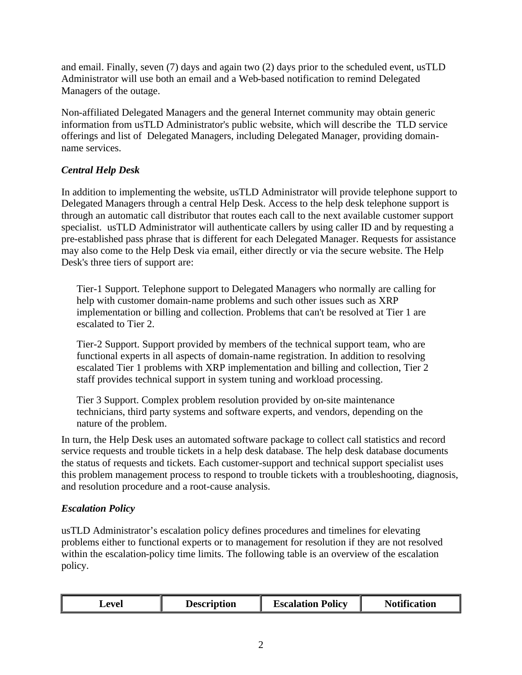and email. Finally, seven (7) days and again two (2) days prior to the scheduled event, usTLD Administrator will use both an email and a Web-based notification to remind Delegated Managers of the outage.

Non-affiliated Delegated Managers and the general Internet community may obtain generic information from usTLD Administrator's public website, which will describe the TLD service offerings and list of Delegated Managers, including Delegated Manager, providing domainname services.

# *Central Help Desk*

In addition to implementing the website, usTLD Administrator will provide telephone support to Delegated Managers through a central Help Desk. Access to the help desk telephone support is through an automatic call distributor that routes each call to the next available customer support specialist. usTLD Administrator will authenticate callers by using caller ID and by requesting a pre-established pass phrase that is different for each Delegated Manager. Requests for assistance may also come to the Help Desk via email, either directly or via the secure website. The Help Desk's three tiers of support are:

Tier-1 Support. Telephone support to Delegated Managers who normally are calling for help with customer domain-name problems and such other issues such as XRP implementation or billing and collection. Problems that can't be resolved at Tier 1 are escalated to Tier 2.

Tier-2 Support. Support provided by members of the technical support team, who are functional experts in all aspects of domain-name registration. In addition to resolving escalated Tier 1 problems with XRP implementation and billing and collection, Tier 2 staff provides technical support in system tuning and workload processing.

Tier 3 Support. Complex problem resolution provided by on-site maintenance technicians, third party systems and software experts, and vendors, depending on the nature of the problem.

In turn, the Help Desk uses an automated software package to collect call statistics and record service requests and trouble tickets in a help desk database. The help desk database documents the status of requests and tickets. Each customer-support and technical support specialist uses this problem management process to respond to trouble tickets with a troubleshooting, diagnosis, and resolution procedure and a root-cause analysis.

## *Escalation Policy*

usTLD Administrator's escalation policy defines procedures and timelines for elevating problems either to functional experts or to management for resolution if they are not resolved within the escalation-policy time limits. The following table is an overview of the escalation policy.

| <b>Escalation Policy</b><br>evel<br><b>Description</b> | <b>Notification</b> |
|--------------------------------------------------------|---------------------|
|--------------------------------------------------------|---------------------|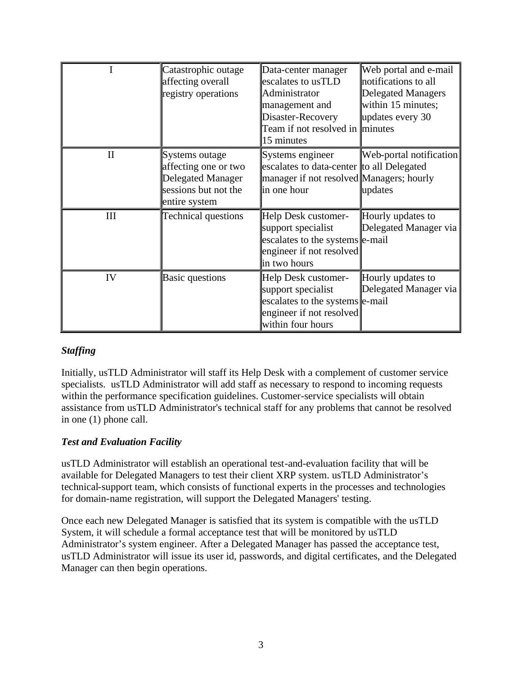|          | Catastrophic outage<br>affecting overall<br>registry operations                                             | Data-center manager<br>escalates to usTLD<br>Administrator<br>management and<br>Disaster-Recovery<br>Team if not resolved in minutes<br>15 minutes | Web portal and e-mail<br>notifications to all<br><b>Delegated Managers</b><br>within 15 minutes;<br>updates every 30 |
|----------|-------------------------------------------------------------------------------------------------------------|----------------------------------------------------------------------------------------------------------------------------------------------------|----------------------------------------------------------------------------------------------------------------------|
| $\rm II$ | Systems outage<br>affecting one or two<br><b>Delegated Manager</b><br>sessions but not the<br>entire system | Systems engineer<br>escalates to data-center to all Delegated<br>manager if not resolved Managers; hourly<br>in one hour                           | Web-portal notification<br>updates                                                                                   |
| Ш        | <b>Technical questions</b>                                                                                  | Help Desk customer-<br>support specialist<br>escalates to the systems e-mail<br>engineer if not resolved<br>in two hours                           | Hourly updates to<br>Delegated Manager via                                                                           |
| IV       | <b>Basic questions</b>                                                                                      | Help Desk customer-<br>support specialist<br>escalates to the systems e-mail<br>engineer if not resolved<br>within four hours                      | Hourly updates to<br>Delegated Manager via                                                                           |

# *Staffing*

Initially, usTLD Administrator will staff its Help Desk with a complement of customer service specialists. usTLD Administrator will add staff as necessary to respond to incoming requests within the performance specification guidelines. Customer-service specialists will obtain assistance from usTLD Administrator's technical staff for any problems that cannot be resolved in one (1) phone call.

## *Test and Evaluation Facility*

usTLD Administrator will establish an operational test-and-evaluation facility that will be available for Delegated Managers to test their client XRP system. usTLD Administrator's technical-support team, which consists of functional experts in the processes and technologies for domain-name registration, will support the Delegated Managers' testing.

Once each new Delegated Manager is satisfied that its system is compatible with the usTLD System, it will schedule a formal acceptance test that will be monitored by usTLD Administrator's system engineer. After a Delegated Manager has passed the acceptance test, usTLD Administrator will issue its user id, passwords, and digital certificates, and the Delegated Manager can then begin operations.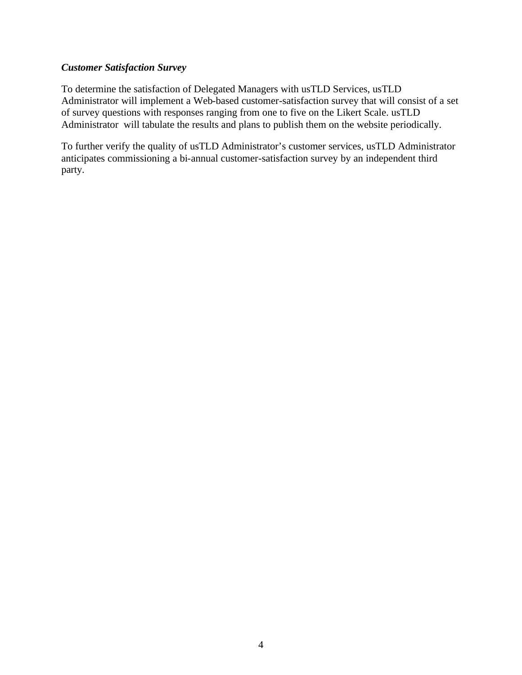#### *Customer Satisfaction Survey*

To determine the satisfaction of Delegated Managers with usTLD Services, usTLD Administrator will implement a Web-based customer-satisfaction survey that will consist of a set of survey questions with responses ranging from one to five on the Likert Scale. usTLD Administrator will tabulate the results and plans to publish them on the website periodically.

To further verify the quality of usTLD Administrator's customer services, usTLD Administrator anticipates commissioning a bi-annual customer-satisfaction survey by an independent third party.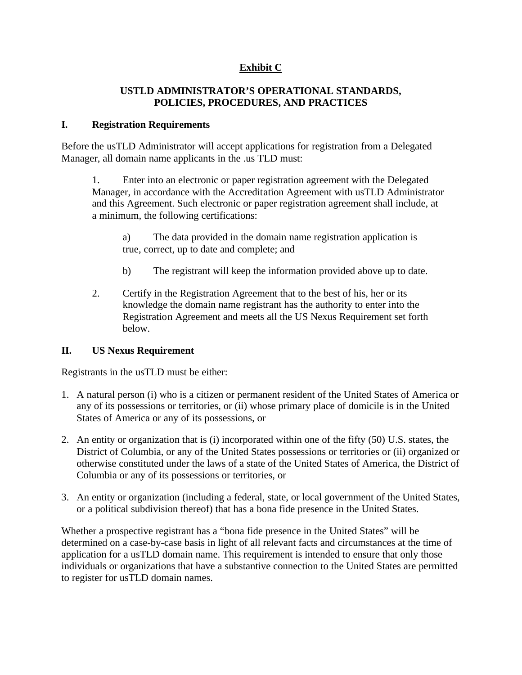# **Exhibit C**

#### **USTLD ADMINISTRATOR'S OPERATIONAL STANDARDS, POLICIES, PROCEDURES, AND PRACTICES**

#### **I. Registration Requirements**

Before the usTLD Administrator will accept applications for registration from a Delegated Manager, all domain name applicants in the .us TLD must:

1. Enter into an electronic or paper registration agreement with the Delegated Manager, in accordance with the Accreditation Agreement with usTLD Administrator and this Agreement. Such electronic or paper registration agreement shall include, at a minimum, the following certifications:

a) The data provided in the domain name registration application is true, correct, up to date and complete; and

- b) The registrant will keep the information provided above up to date.
- 2. Certify in the Registration Agreement that to the best of his, her or its knowledge the domain name registrant has the authority to enter into the Registration Agreement and meets all the US Nexus Requirement set forth below.

## **II. US Nexus Requirement**

Registrants in the usTLD must be either:

- 1. A natural person (i) who is a citizen or permanent resident of the United States of America or any of its possessions or territories, or (ii) whose primary place of domicile is in the United States of America or any of its possessions, or
- 2. An entity or organization that is (i) incorporated within one of the fifty (50) U.S. states, the District of Columbia, or any of the United States possessions or territories or (ii) organized or otherwise constituted under the laws of a state of the United States of America, the District of Columbia or any of its possessions or territories, or
- 3. An entity or organization (including a federal, state, or local government of the United States, or a political subdivision thereof) that has a bona fide presence in the United States.

Whether a prospective registrant has a "bona fide presence in the United States" will be determined on a case-by-case basis in light of all relevant facts and circumstances at the time of application for a usTLD domain name. This requirement is intended to ensure that only those individuals or organizations that have a substantive connection to the United States are permitted to register for usTLD domain names.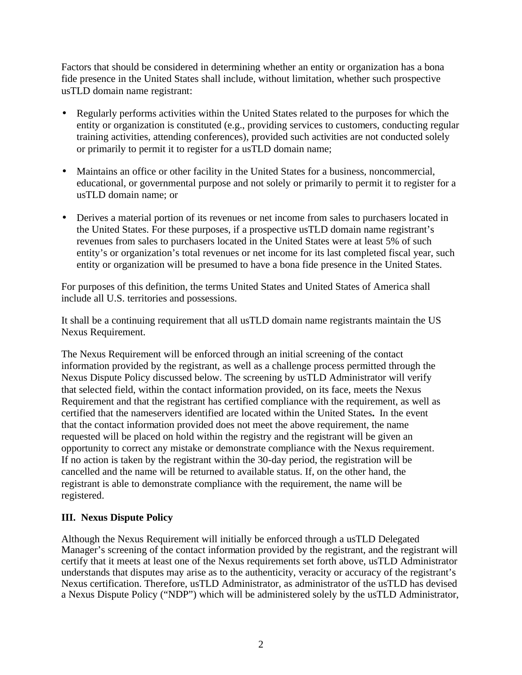Factors that should be considered in determining whether an entity or organization has a bona fide presence in the United States shall include, without limitation, whether such prospective usTLD domain name registrant:

- Regularly performs activities within the United States related to the purposes for which the entity or organization is constituted (e.g., providing services to customers, conducting regular training activities, attending conferences), provided such activities are not conducted solely or primarily to permit it to register for a usTLD domain name;
- Maintains an office or other facility in the United States for a business, noncommercial, educational, or governmental purpose and not solely or primarily to permit it to register for a usTLD domain name; or
- Derives a material portion of its revenues or net income from sales to purchasers located in the United States. For these purposes, if a prospective usTLD domain name registrant's revenues from sales to purchasers located in the United States were at least 5% of such entity's or organization's total revenues or net income for its last completed fiscal year, such entity or organization will be presumed to have a bona fide presence in the United States.

For purposes of this definition, the terms United States and United States of America shall include all U.S. territories and possessions.

It shall be a continuing requirement that all usTLD domain name registrants maintain the US Nexus Requirement.

The Nexus Requirement will be enforced through an initial screening of the contact information provided by the registrant, as well as a challenge process permitted through the Nexus Dispute Policy discussed below. The screening by usTLD Administrator will verify that selected field, within the contact information provided, on its face, meets the Nexus Requirement and that the registrant has certified compliance with the requirement, as well as certified that the nameservers identified are located within the United States**.** In the event that the contact information provided does not meet the above requirement, the name requested will be placed on hold within the registry and the registrant will be given an opportunity to correct any mistake or demonstrate compliance with the Nexus requirement. If no action is taken by the registrant within the 30-day period, the registration will be cancelled and the name will be returned to available status. If, on the other hand, the registrant is able to demonstrate compliance with the requirement, the name will be registered.

## **III. Nexus Dispute Policy**

Although the Nexus Requirement will initially be enforced through a usTLD Delegated Manager's screening of the contact information provided by the registrant, and the registrant will certify that it meets at least one of the Nexus requirements set forth above, usTLD Administrator understands that disputes may arise as to the authenticity, veracity or accuracy of the registrant's Nexus certification. Therefore, usTLD Administrator, as administrator of the usTLD has devised a Nexus Dispute Policy ("NDP") which will be administered solely by the usTLD Administrator,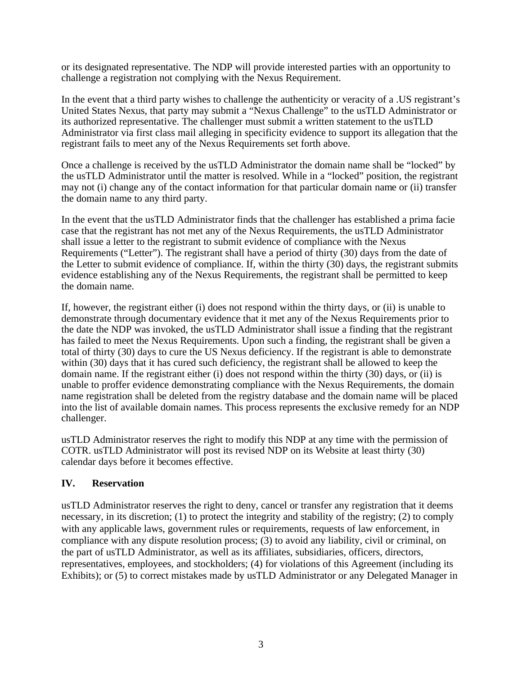or its designated representative. The NDP will provide interested parties with an opportunity to challenge a registration not complying with the Nexus Requirement.

In the event that a third party wishes to challenge the authenticity or veracity of a .US registrant's United States Nexus, that party may submit a "Nexus Challenge" to the usTLD Administrator or its authorized representative. The challenger must submit a written statement to the usTLD Administrator via first class mail alleging in specificity evidence to support its allegation that the registrant fails to meet any of the Nexus Requirements set forth above.

Once a challenge is received by the usTLD Administrator the domain name shall be "locked" by the usTLD Administrator until the matter is resolved. While in a "locked" position, the registrant may not (i) change any of the contact information for that particular domain name or (ii) transfer the domain name to any third party.

In the event that the usTLD Administrator finds that the challenger has established a prima facie case that the registrant has not met any of the Nexus Requirements, the usTLD Administrator shall issue a letter to the registrant to submit evidence of compliance with the Nexus Requirements ("Letter"). The registrant shall have a period of thirty (30) days from the date of the Letter to submit evidence of compliance. If, within the thirty (30) days, the registrant submits evidence establishing any of the Nexus Requirements, the registrant shall be permitted to keep the domain name.

If, however, the registrant either (i) does not respond within the thirty days, or (ii) is unable to demonstrate through documentary evidence that it met any of the Nexus Requirements prior to the date the NDP was invoked, the usTLD Administrator shall issue a finding that the registrant has failed to meet the Nexus Requirements. Upon such a finding, the registrant shall be given a total of thirty (30) days to cure the US Nexus deficiency. If the registrant is able to demonstrate within (30) days that it has cured such deficiency, the registrant shall be allowed to keep the domain name. If the registrant either (i) does not respond within the thirty (30) days, or (ii) is unable to proffer evidence demonstrating compliance with the Nexus Requirements, the domain name registration shall be deleted from the registry database and the domain name will be placed into the list of available domain names. This process represents the exclusive remedy for an NDP challenger.

usTLD Administrator reserves the right to modify this NDP at any time with the permission of COTR. usTLD Administrator will post its revised NDP on its Website at least thirty (30) calendar days before it becomes effective.

## **IV. Reservation**

usTLD Administrator reserves the right to deny, cancel or transfer any registration that it deems necessary, in its discretion; (1) to protect the integrity and stability of the registry; (2) to comply with any applicable laws, government rules or requirements, requests of law enforcement, in compliance with any dispute resolution process; (3) to avoid any liability, civil or criminal, on the part of usTLD Administrator, as well as its affiliates, subsidiaries, officers, directors, representatives, employees, and stockholders; (4) for violations of this Agreement (including its Exhibits); or (5) to correct mistakes made by usTLD Administrator or any Delegated Manager in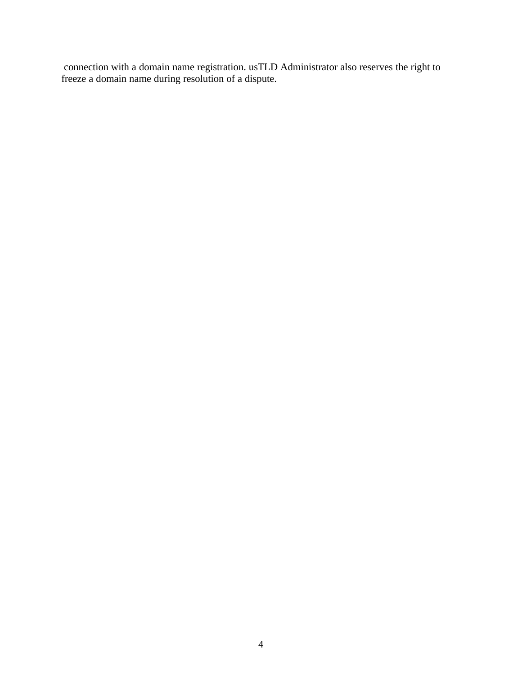connection with a domain name registration. usTLD Administrator also reserves the right to freeze a domain name during resolution of a dispute.